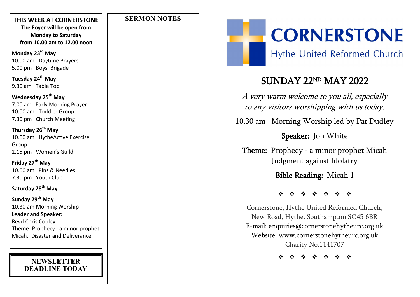### **THIS WEEK AT CORNERSTONE The Foyer will be open from Monday to Saturday from 10.00 am to 12.00 noon**

**Monday 23rd May** 10.00 am Daytime Prayers 5.00 pm Boys' Brigade

**Tuesday 24th May** 9.30 am Table Top

### **Wednesday 25th May** 7.00 am Early Morning Prayer 10.00 am Toddler Group 7.30 pm Church Meeting

**Thursday 26th May** 10.00 am HytheActive Exercise Group 2.15 pm Women's Guild

**Friday 27th May** 10.00 am Pins & Needles 7.30 pm Youth Club

**Saturday 28th May**

**Sunday 29th May** 10.30 am Morning Worship **Leader and Speaker:** Revd Chris Copley **Theme**: Prophecy - a minor prophet Micah. Disaster and Deliverance

### **NEWSLETTER DEADLINE TODAY**

### **SERMON NOTES**



**Hythe United Reformed Church** 

## SUNDAY 22ND MAY 2022

A very warm welcome to you all, especially to any visitors worshipping with us today.

10.30 am Morning Worship led by Pat Dudley

Speaker: Jon White

**Theme:** Prophecy - a minor prophet Micah Judgment against Idolatry

Bible Reading: Micah 1

\* \* \* \* \* \* \*

Cornerstone, Hythe United Reformed Church, New Road, Hythe, Southampton SO45 6BR E -mail: enquiries@cornerstonehytheurc.org.uk Website: www.cornerstonehytheurc.org.uk Charity No.1141707

**\*\*\*\*\*\***